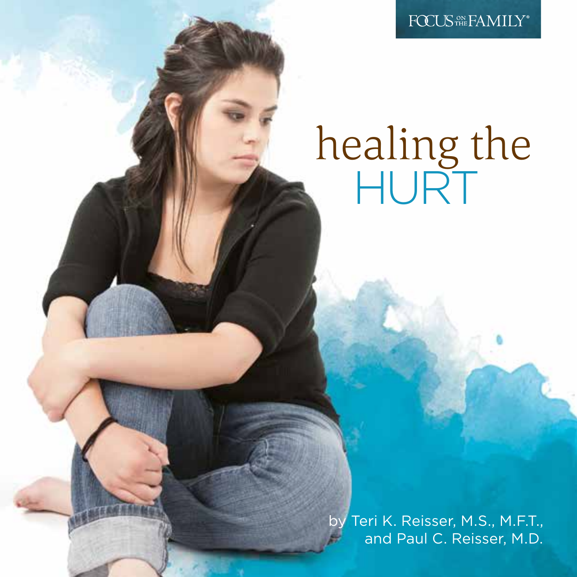FOCUS<sup>ON</sup> FAMILY<sup>®</sup>

# healing the **HURT**

by Teri K. Reisser, M.S., M.F.T., and Paul C. Reisser, M.D.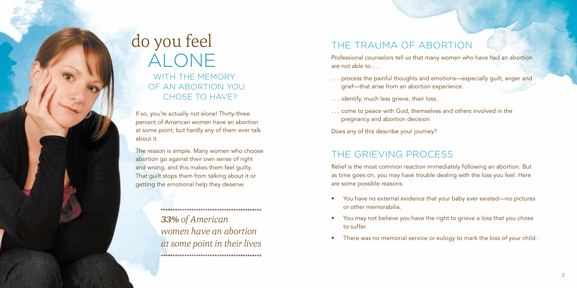# do you feel ALONE

 WITH THE MEMORY OF AN ABORTION YOU CHOSE TO HAVE?

If so, you're actually *not* alone! Thirty-three percent of American women have an abortion at some point, but hardly any of them ever talk about it.

The reason is simple. Many women who choose abortion go against their own sense of right and wrong, and this makes them feel guilty. That guilt stops them from talking about it or getting the emotional help they deserve.

> *33% of American women have an abortion at some point in their lives*

# THE TRAUMA OF ABORTION

Professional counselors tell us that many women who have had an abortion are not able to

- . . . process the painful thoughts and emotions—especially guilt, anger and grief—that arise from an abortion experience.
- . . . identify, much less grieve, their loss.
- . . . come to peace with God, themselves and others involved in the pregnancy and abortion decision.

Does any of this describe your journey?

### THE GRIEVING PROCESS

Relief is the most common reaction immediately following an abortion. But as time goes on, you may have trouble dealing with the loss you feel. Here are some possible reasons:

- You have no external evidence that your baby ever existed—no pictures or other memorabilia.
- You may not believe you have the right to grieve a loss that you *chose* to suffer.
- There was no memorial service or eulogy to mark the loss of your child.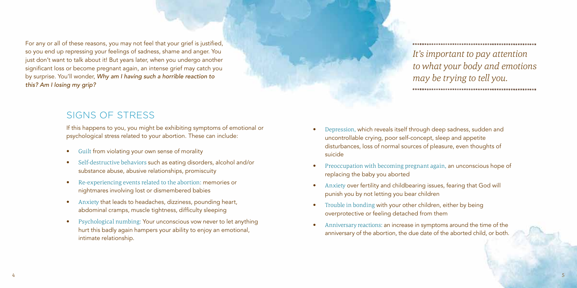For any or all of these reasons, you may not feel that your grief is justified, so you end up repressing your feelings of sadness, shame and anger. You just don't want to talk about it! But years later, when you undergo another significant loss or become pregnant again, an intense grief may catch you by surprise. You'll wonder, *Why am I having such a horrible reaction to this? Am I losing my grip?*

### SIGNS OF STRESS

If this happens to you, you might be exhibiting symptoms of emotional or psychological stress related to your abortion. These can include:

- Guilt from violating your own sense of morality
- Self-destructive behaviors such as eating disorders, alcohol and/or substance abuse, abusive relationships, promiscuity
- Re-experiencing events related to the abortion: memories or nightmares involving lost or dismembered babies
- Anxiety that leads to headaches, dizziness, pounding heart, abdominal cramps, muscle tightness, difficulty sleeping
- Psychological numbing: Your unconscious vow never to let anything hurt this badly again hampers your ability to enjoy an emotional, intimate relationship.

*It's important to pay attention to what your body and emotions may be trying to tell you.*

- Depression, which reveals itself through deep sadness, sudden and uncontrollable crying, poor self-concept, sleep and appetite disturbances, loss of normal sources of pleasure, even thoughts of suicide
- Preoccupation with becoming pregnant again, an unconscious hope of replacing the baby you aborted
- Anxiety over fertility and childbearing issues, fearing that God will punish you by not letting you bear children
- Trouble in bonding with your other children, either by being overprotective or feeling detached from them
- Anniversary reactions: an increase in symptoms around the time of the anniversary of the abortion, the due date of the aborted child, or both.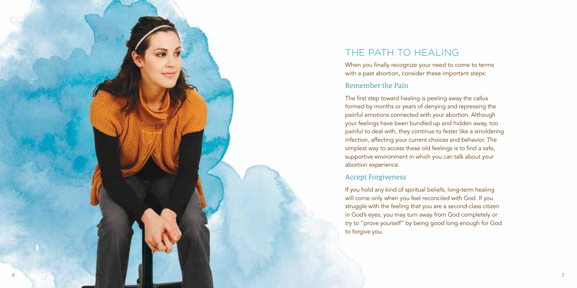

# THE PATH TO HEALING

When you finally recognize your need to come to terms with a past abortion, consider these important steps:

#### Remember the Pain

The first step toward healing is peeling away the callus formed by months or years of denying and repressing the painful emotions connected with your abortion. Although your feelings have been bundled up and hidden away, too painful to deal with, they continue to fester like a smoldering infection, affecting your current choices and behavior. The simplest way to access these old feelings is to find a safe, supportive environment in which you can talk about your abortion experience.

#### Accept Forgiveness

If you hold any kind of spiritual beliefs, long-term healing will come only when you feel reconciled with God. If you struggle with the feeling that you are a second-class citizen in God's eyes, you may turn away from God completely or try to "prove yourself" by being good long enough for God to forgive you.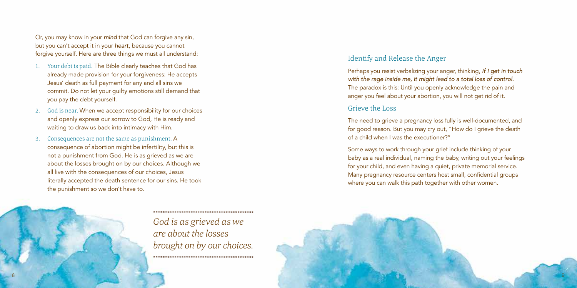Or, you may know in your *mind* that God can forgive any sin, but you can't accept it in your *heart*, because you cannot forgive yourself. Here are three things we must all understand:

- 1. Your debt is paid. The Bible clearly teaches that God has already made provision for your forgiveness: He accepts Jesus' death as full payment for any and all sins we commit. Do not let your guilty emotions still demand that you pay the debt yourself.
- 2. God is near. When we accept responsibility for our choices and openly express our sorrow to God, He is ready and waiting to draw us back into intimacy with Him.
- Consequences are not the same as punishment. A consequence of abortion might be infertility, but this is not a punishment from God. He is as grieved as we are about the losses brought on by our choices. Although we all live with the consequences of our choices, Jesus literally accepted the death sentence for our sins. He took the punishment so we don't have to.



*God is as grieved as we are about the losses brought on by our choices.* 

#### Identify and Release the Anger

Perhaps you resist verbalizing your anger, thinking, *If I get in touch with the rage inside me, it might lead to a total loss of control.* The paradox is this: Until you openly acknowledge the pain and anger you feel about your abortion, you will not get rid of it.

#### Grieve the Loss

The need to grieve a pregnancy loss fully is well-documented, and for good reason. But you may cry out, "How do I grieve the death of a child when I was the executioner?"

Some ways to work through your grief include thinking of your baby as a real individual, naming the baby, writing out your feelings for your child, and even having a quiet, private memorial service. Many pregnancy resource centers host small, confidential groups where you can walk this path together with other women.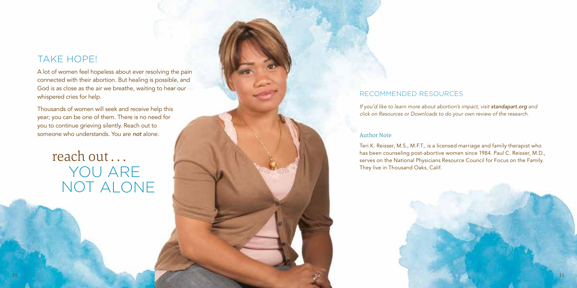## TAKE HOPE!

A lot of women feel hopeless about ever resolving the pain connected with their abortion. But healing is possible, and God is as close as the air we breathe, waiting to hear our whispered cries for help.

Thousands of women will seek and receive help this year; you can be one of them. There is no need for you to continue grieving silently. Reach out to someone who understands. You are *not* alone.

# reach out . . . YOU ARE NOT ALONE

#### RECOMMENDED RESOURCES

*If you'd like to learn more about abortion's impact, visit standapart.org* and *click on Resources or Downloads to do your own review of the research.*

#### Author Note

Teri K. Reisser, M.S., M.F.T., is a licensed marriage and family therapist who has been counseling post-abortive women since 1984. Paul C. Reisser, M.D., serves on the National Physicians Resource Council for Focus on the Family. They live in Thousand Oaks, Calif.